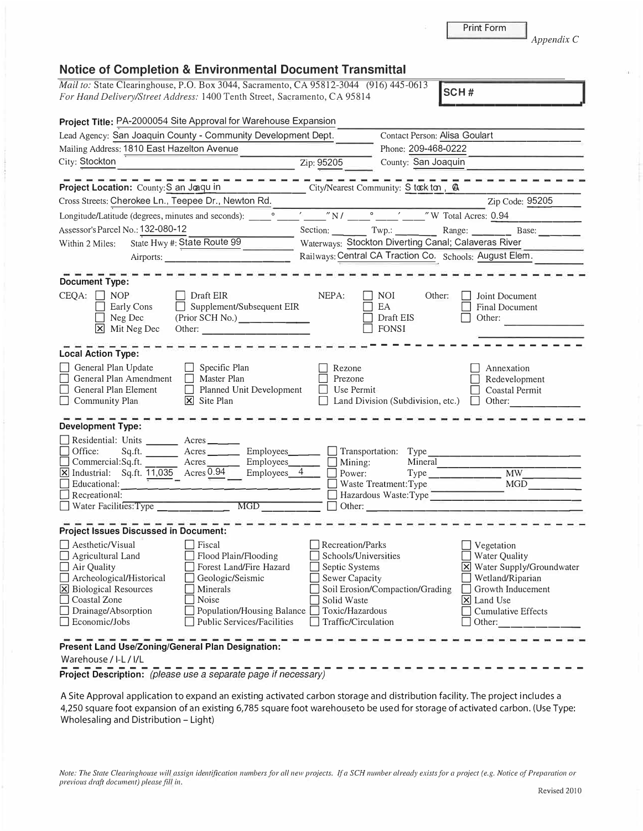| <b>Project Title:</b> PA-2000054 Site Approval for Warehouse Expansion                                                                                                                                                                                                                                                        |                                                                                             |                                                                                                                                                                                                                                                                                                                                  |                                                                                                                                 |
|-------------------------------------------------------------------------------------------------------------------------------------------------------------------------------------------------------------------------------------------------------------------------------------------------------------------------------|---------------------------------------------------------------------------------------------|----------------------------------------------------------------------------------------------------------------------------------------------------------------------------------------------------------------------------------------------------------------------------------------------------------------------------------|---------------------------------------------------------------------------------------------------------------------------------|
| Lead Agency: San Joaquin County - Community Development Dept.                                                                                                                                                                                                                                                                 |                                                                                             | Contact Person: Alisa Goulart                                                                                                                                                                                                                                                                                                    |                                                                                                                                 |
| Mailing Address: 1810 East Hazelton Avenue                                                                                                                                                                                                                                                                                    |                                                                                             | Phone: 209-468-0222                                                                                                                                                                                                                                                                                                              |                                                                                                                                 |
| City: Stockton                                                                                                                                                                                                                                                                                                                | Zip: 95205                                                                                  | County: San Joaquin                                                                                                                                                                                                                                                                                                              |                                                                                                                                 |
| Project Location: County: S an Joaqu in<br>Cross Streets: Cherokee Ln., Teepee Dr., Newton Rd.                                                                                                                                                                                                                                |                                                                                             | City/Nearest Community: S took ton, @                                                                                                                                                                                                                                                                                            | Zip Code: 95205                                                                                                                 |
| Longitude/Latitude (degrees, minutes and seconds):                                                                                                                                                                                                                                                                            |                                                                                             | $\sqrt{\frac{N}{m}}$ $\sqrt{\frac{N}{m}}$ $\frac{N}{m}$ $\frac{N}{m}$ $\frac{N}{m}$ $\frac{N}{m}$ $\frac{N}{m}$ $\frac{N}{m}$ $\frac{N}{m}$ $\frac{N}{m}$ $\frac{N}{m}$ $\frac{N}{m}$ $\frac{N}{m}$ $\frac{N}{m}$ $\frac{N}{m}$ $\frac{N}{m}$ $\frac{N}{m}$ $\frac{N}{m}$ $\frac{N}{m}$ $\frac{N}{m}$ $\frac{N}{m}$ $\frac{N}{m$ |                                                                                                                                 |
| Assessor's Parcel No.: 132-080-12                                                                                                                                                                                                                                                                                             |                                                                                             | Section: Twp.: Range:                                                                                                                                                                                                                                                                                                            | Base:                                                                                                                           |
| State Hwy #: State Route 99<br>Within 2 Miles:                                                                                                                                                                                                                                                                                |                                                                                             | Waterways: Stockton Diverting Canal; Calaveras River                                                                                                                                                                                                                                                                             |                                                                                                                                 |
| Airports:                                                                                                                                                                                                                                                                                                                     |                                                                                             | Railways; Central CA Traction Co. Schools: August Elem.                                                                                                                                                                                                                                                                          |                                                                                                                                 |
|                                                                                                                                                                                                                                                                                                                               |                                                                                             |                                                                                                                                                                                                                                                                                                                                  |                                                                                                                                 |
| <b>Document Type:</b>                                                                                                                                                                                                                                                                                                         |                                                                                             |                                                                                                                                                                                                                                                                                                                                  |                                                                                                                                 |
| $CEQA: \Box$<br><b>NOP</b><br>  Draft EIR<br>Supplement/Subsequent EIR<br>Early Cons<br>Neg Dec<br>(Prior SCH No.)<br>⊠<br>Mit Neg Dec<br>Other:                                                                                                                                                                              | NEPA:                                                                                       | NOI.<br>Other:<br>EA<br>Draft EIS<br><b>FONSI</b>                                                                                                                                                                                                                                                                                | Joint Document<br><b>Final Document</b><br>Other:                                                                               |
| <b>Local Action Type:</b>                                                                                                                                                                                                                                                                                                     |                                                                                             |                                                                                                                                                                                                                                                                                                                                  |                                                                                                                                 |
| General Plan Update<br>Specific Plan<br>General Plan Amendment<br>Master Plan<br>General Plan Element<br>$\Box$<br>Planned Unit Development<br>$\Box$ Community Plan<br>$\overline{\mathsf{X}}$ Site Plan                                                                                                                     | Rezone<br>Prezone<br>Use Permit                                                             | Land Division (Subdivision, etc.) $\Box$                                                                                                                                                                                                                                                                                         | Annexation<br>Redevelopment<br>Coastal Permit<br>Other:                                                                         |
| <b>Development Type:</b>                                                                                                                                                                                                                                                                                                      |                                                                                             |                                                                                                                                                                                                                                                                                                                                  |                                                                                                                                 |
| Residential: Units _______ Acres _____<br>Office:<br>Sq.ft.<br>$Employes$ <sub>________</sub><br>Acres <u>Leadenborn</u><br>Employees______<br>Commercial:Sq.ft.<br>$\boxed{\text{M}}$ Industrial: Sq.ft. $\boxed{11,035}$ Acres 0.94<br>Employees 4<br>Educational:<br>$\Box$ Recreational:<br>MGD<br>Water Facilities: Type | $\Box$ Mining:<br>Power:<br>Other:                                                          | $\Box$ Transportation: Type<br>Mineral<br>Waste Treatment:Type<br>Hazardous Waste:Type<br><u> 1980 - Jan Stein Stein Stein Stein Stein Stein Stein Stein Stein Stein Stein Stein Stein Stein Stein Stein Stein Stein Stein Stein Stein Stein Stein Stein Stein Stein Stein Stein Stein Stein Stein Stein Stein Stein Stein</u>   | <b>MW</b><br><b>MGD</b>                                                                                                         |
| <b>Project Issues Discussed in Document:</b>                                                                                                                                                                                                                                                                                  |                                                                                             |                                                                                                                                                                                                                                                                                                                                  |                                                                                                                                 |
| $\Box$ Aesthetic/Visual<br>Fiscal<br>Flood Plain/Flooding<br>$\Box$ Agricultural Land<br>Forest Land/Fire Hazard<br>$\Box$ Air Quality<br>$\Box$ Archeological/Historical<br>Geologic/Seismic<br>X Biological Resources<br>Minerals<br>□ Coastal Zone<br>Noise                                                                | Recreation/Parks<br>Schools/Universities<br>Septic Systems<br>Sewer Capacity<br>Solid Waste | Soil Erosion/Compaction/Grading                                                                                                                                                                                                                                                                                                  | Vegetation<br>Water Quality<br>X Water Supply/Groundwater<br>Wetland/Riparian<br>Growth Inducement<br>$\triangleright$ Land Use |

## **Notice of Completion & Environmental Document Transmittal**

*Mail to: State Clearinghouse, P.O. Box 3044, Sacramento, CA 95812-3044 (916) 445-0613*<br>For Hand Delivery/Street Address: 1400 Tenth Street, Sacramento, CA 95814 **SCH #** 

 $\Box$  Hazardous Waste:Type  $\Box$ □ Water Facilities:Type \_\_\_\_\_\_ \_ MGD ----- □ Other: \_\_\_\_\_\_\_\_\_\_\_\_\_\_\_\_\_ \_ в. **Project Issues Discussed in Document:**  <table>\n<tbody>\n<tr>\n<th>□ Aesthetic/Visual</th>\n<th>□ Fiscal</th>\n<th>Recreation/Parks</th>\n</tr>\n<tr>\n<td>□ Air Quality</td>\n<td>□ Flood Plain/Floading</td>\n<td>□ Schools/University</td>\n</tr>\n<tr>\n<td>□ Acrheological/Historical</td>\n<td>□ Geologic/Seismic</td>\n<td>□ Septic Systems</td>\n</tr>\n<tr>\n<td>□ Ricological Resources</td>\n<td>□ Mineras</td>\n<td>□ Solid Erosion/Com</td>\n</tr>\n<tr>\n<td>□ Coastal zone</td>\n<td>□ Noise</td>\n<td>□ Social Frosion/Com</td>\n</tr>\n<tr>\n<td>□ Drainage/Abs D Aesthetic/Visual D Fiscal D Recreation/Parks  $\Box$  Agricultural Land  $\Box$  Flood Plain/Flooding  $\Box$  Schools/Universities  $\Box$  Air Quality  $\Box$  Forest Land/Fire Hazard  $\Box$  Septic Systems **X** Water Supply/Groundwater  $\Box$  Archeological/Historical  $\Box$  Geologic/Seismic  $\Box$  Sewer Capacity  $\overline{\boxtimes}$  Biological Resources  $\overline{\Box}$  Minerals  $\overline{\Box}$  Soil Erosion/Compaction/Grading D Coastal Zone D Noise D Solid Waste  $\Box$  Cumulative Effects  $\Box$  Public Services/Facilities  $\Box$  Traffic/Circulation  $\Box$  Other: **Present Land Use/Zoning/General Plan Designation:**  Warehouse/ 1-L / 1/L ---------------------------------------------- **Project Description:** *(please use a separate page if necessary)*  A Site Approval application to expand an existing activated carbon storage and distribution facility. The project includes a

4,250 square foot expansion of an existing 6,785 square foot warehouseto be used for storage of activated carbon. (Use Type: Wholesaling and Distribution - Light)

*Note: The State Clearinghouse will assign identification numbers for all new projects. If a SCH nwnber already exists for a project ( e.g. Notice of Preparation or previous draft document) please fill in.* 

Print Form

.. �\_c\_H\_# \_\_\_\_\_\_\_\_\_ \_.